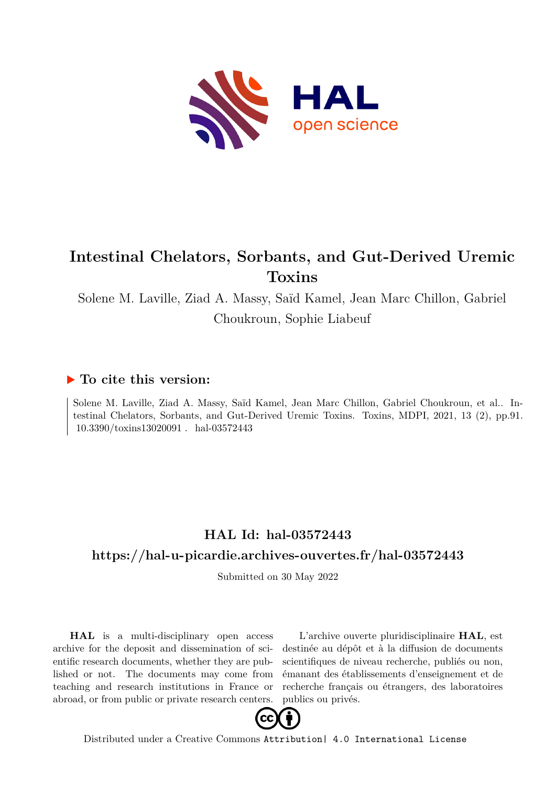

# **Intestinal Chelators, Sorbants, and Gut-Derived Uremic Toxins**

Solene M. Laville, Ziad A. Massy, Saïd Kamel, Jean Marc Chillon, Gabriel Choukroun, Sophie Liabeuf

# **To cite this version:**

Solene M. Laville, Ziad A. Massy, Saïd Kamel, Jean Marc Chillon, Gabriel Choukroun, et al.. Intestinal Chelators, Sorbants, and Gut-Derived Uremic Toxins. Toxins, MDPI, 2021, 13 (2), pp.91.  $10.3390/toxins13020091$ . hal-03572443

# **HAL Id: hal-03572443 <https://hal-u-picardie.archives-ouvertes.fr/hal-03572443>**

Submitted on 30 May 2022

**HAL** is a multi-disciplinary open access archive for the deposit and dissemination of scientific research documents, whether they are published or not. The documents may come from teaching and research institutions in France or abroad, or from public or private research centers.

L'archive ouverte pluridisciplinaire **HAL**, est destinée au dépôt et à la diffusion de documents scientifiques de niveau recherche, publiés ou non, émanant des établissements d'enseignement et de recherche français ou étrangers, des laboratoires publics ou privés.



Distributed under a Creative Commons [Attribution| 4.0 International License](http://creativecommons.org/licenses/by/4.0/)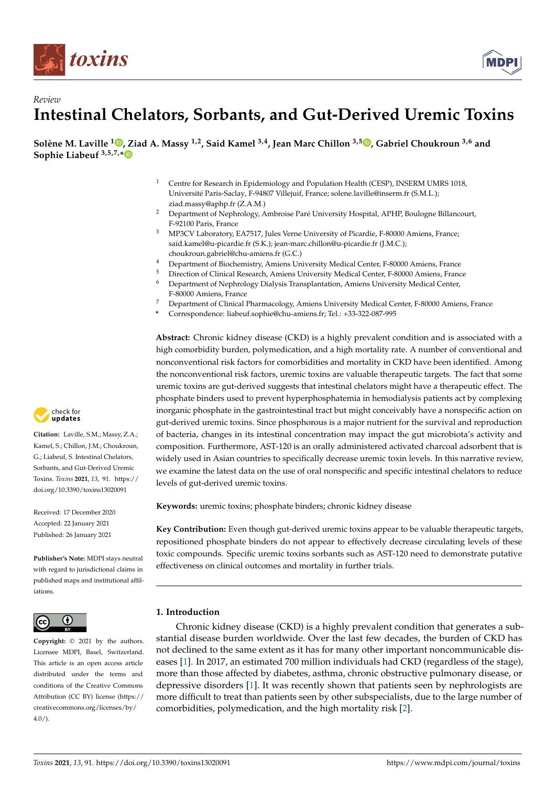



# *Review* **Intestinal Chelators, Sorbants, and Gut-Derived Uremic Toxins**

**Solène M. Laville <sup>1</sup> [,](https://orcid.org/0000-0002-0214-5567) Ziad A. Massy 1,2, Said Kamel 3,4, Jean Marc Chillon 3,5 [,](https://orcid.org/0000-0003-1610-9935) Gabriel Choukroun 3,6 and Sophie Liabeuf 3,5,7,[\\*](https://orcid.org/0000-0001-5384-9006)**

- <sup>1</sup> Centre for Research in Epidemiology and Population Health (CESP), INSERM UMRS 1018, Université Paris-Saclay, F-94807 Villejuif, France; solene.laville@inserm.fr (S.M.L.); ziad.massy@aphp.fr (Z.A.M.)
- <sup>2</sup> Department of Nephrology, Ambroise Paré University Hospital, APHP, Boulogne Billancourt, F-92100 Paris, France
- <sup>3</sup> MP3CV Laboratory, EA7517, Jules Verne University of Picardie, F-80000 Amiens, France; said.kamel@u-picardie.fr (S.K.); jean-marc.chillon@u-picardie.fr (J.M.C.); choukroun.gabriel@chu-amiens.fr (G.C.)
- <sup>4</sup> Department of Biochemistry, Amiens University Medical Center, F-80000 Amiens, France
- <sup>5</sup> Direction of Clinical Research, Amiens University Medical Center, F-80000 Amiens, France
- <sup>6</sup> Department of Nephrology Dialysis Transplantation, Amiens University Medical Center, F-80000 Amiens, France
- <sup>7</sup> Department of Clinical Pharmacology, Amiens University Medical Center, F-80000 Amiens, France
- **\*** Correspondence: liabeuf.sophie@chu-amiens.fr; Tel.: +33-322-087-995

**Abstract:** Chronic kidney disease (CKD) is a highly prevalent condition and is associated with a high comorbidity burden, polymedication, and a high mortality rate. A number of conventional and nonconventional risk factors for comorbidities and mortality in CKD have been identified. Among the nonconventional risk factors, uremic toxins are valuable therapeutic targets. The fact that some uremic toxins are gut-derived suggests that intestinal chelators might have a therapeutic effect. The phosphate binders used to prevent hyperphosphatemia in hemodialysis patients act by complexing inorganic phosphate in the gastrointestinal tract but might conceivably have a nonspecific action on gut-derived uremic toxins. Since phosphorous is a major nutrient for the survival and reproduction of bacteria, changes in its intestinal concentration may impact the gut microbiota's activity and composition. Furthermore, AST-120 is an orally administered activated charcoal adsorbent that is widely used in Asian countries to specifically decrease uremic toxin levels. In this narrative review, we examine the latest data on the use of oral nonspecific and specific intestinal chelators to reduce levels of gut-derived uremic toxins.

**Keywords:** uremic toxins; phosphate binders; chronic kidney disease

**Key Contribution:** Even though gut-derived uremic toxins appear to be valuable therapeutic targets, repositioned phosphate binders do not appear to effectively decrease circulating levels of these toxic compounds. Specific uremic toxins sorbants such as AST-120 need to demonstrate putative effectiveness on clinical outcomes and mortality in further trials.

# **1. Introduction**

Chronic kidney disease (CKD) is a highly prevalent condition that generates a substantial disease burden worldwide. Over the last few decades, the burden of CKD has not declined to the same extent as it has for many other important noncommunicable diseases [1]. In 2017, an estimated 700 million individuals had CKD (regardless of the stage), more than those affected by diabetes, asthma, chronic obstructive pulmonary disease, or depressive disorders [1]. It was recently shown that patients seen by nephrologists are more difficult to treat than patients seen by other subspecialists, due to the large number of comorbidities, polymedication, and the high mortality risk [2].



**Citation:** Laville, S.M.; Massy, Z.A.; Kamel, S.; Chillon, J.M.; Choukroun, G.; Liabeuf, S. Intestinal Chelators, Sorbants, and Gut-Derived Uremic Toxins. *Toxins* **2021**, *13*, 91. [https://](https://doi.org/10.3390/toxins13020091) [doi.org/10.3390/toxins13020091](https://doi.org/10.3390/toxins13020091)

Received: 17 December 2020 Accepted: 22 January 2021 Published: 26 January 2021

**Publisher's Note:** MDPI stays neutral with regard to jurisdictional claims in published maps and institutional affiliations.



**Copyright:** © 2021 by the authors. Licensee MDPI, Basel, Switzerland. This article is an open access article distributed under the terms and conditions of the Creative Commons Attribution (CC BY) license (https:/[/](https://creativecommons.org/licenses/by/4.0/) [creativecommons.org/licenses/by/](https://creativecommons.org/licenses/by/4.0/)  $4.0/$ ).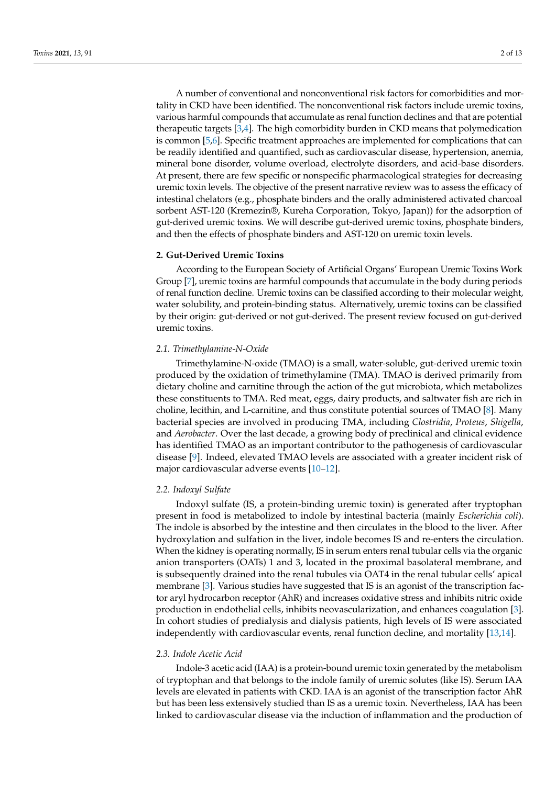A number of conventional and nonconventional risk factors for comorbidities and mortality in CKD have been identified. The nonconventional risk factors include uremic toxins, various harmful compounds that accumulate as renal function declines and that are potential therapeutic targets [3,4]. The high comorbidity burden in CKD means that polymedication is common [5,6]. Specific treatment approaches are implemented for complications that can be readily identified and quantified, such as cardiovascular disease, hypertension, anemia, mineral bone disorder, volume overload, electrolyte disorders, and acid-base disorders. At present, there are few specific or nonspecific pharmacological strategies for decreasing uremic toxin levels. The objective of the present narrative review was to assess the efficacy of intestinal chelators (e.g., phosphate binders and the orally administered activated charcoal sorbent AST-120 (Kremezin®, Kureha Corporation, Tokyo, Japan)) for the adsorption of gut-derived uremic toxins. We will describe gut-derived uremic toxins, phosphate binders, and then the effects of phosphate binders and AST-120 on uremic toxin levels.

# **2. Gut-Derived Uremic Toxins**

According to the European Society of Artificial Organs' European Uremic Toxins Work Group [7], uremic toxins are harmful compounds that accumulate in the body during periods of renal function decline. Uremic toxins can be classified according to their molecular weight, water solubility, and protein-binding status. Alternatively, uremic toxins can be classified by their origin: gut-derived or not gut-derived. The present review focused on gut-derived uremic toxins.

#### *2.1. Trimethylamine-N-Oxide*

Trimethylamine-N-oxide (TMAO) is a small, water-soluble, gut-derived uremic toxin produced by the oxidation of trimethylamine (TMA). TMAO is derived primarily from dietary choline and carnitine through the action of the gut microbiota, which metabolizes these constituents to TMA. Red meat, eggs, dairy products, and saltwater fish are rich in choline, lecithin, and L-carnitine, and thus constitute potential sources of TMAO [8]. Many bacterial species are involved in producing TMA, including *Clostridia*, *Proteus*, *Shigella*, and *Aerobacter*. Over the last decade, a growing body of preclinical and clinical evidence has identified TMAO as an important contributor to the pathogenesis of cardiovascular disease [9]. Indeed, elevated TMAO levels are associated with a greater incident risk of major cardiovascular adverse events [10–12].

# *2.2. Indoxyl Sulfate*

Indoxyl sulfate (IS, a protein-binding uremic toxin) is generated after tryptophan present in food is metabolized to indole by intestinal bacteria (mainly *Escherichia coli*). The indole is absorbed by the intestine and then circulates in the blood to the liver. After hydroxylation and sulfation in the liver, indole becomes IS and re-enters the circulation. When the kidney is operating normally, IS in serum enters renal tubular cells via the organic anion transporters (OATs) 1 and 3, located in the proximal basolateral membrane, and is subsequently drained into the renal tubules via OAT4 in the renal tubular cells' apical membrane [3]. Various studies have suggested that IS is an agonist of the transcription factor aryl hydrocarbon receptor (AhR) and increases oxidative stress and inhibits nitric oxide production in endothelial cells, inhibits neovascularization, and enhances coagulation [3]. In cohort studies of predialysis and dialysis patients, high levels of IS were associated independently with cardiovascular events, renal function decline, and mortality [13,14].

# *2.3. Indole Acetic Acid*

Indole-3 acetic acid (IAA) is a protein-bound uremic toxin generated by the metabolism of tryptophan and that belongs to the indole family of uremic solutes (like IS). Serum IAA levels are elevated in patients with CKD. IAA is an agonist of the transcription factor AhR but has been less extensively studied than IS as a uremic toxin. Nevertheless, IAA has been linked to cardiovascular disease via the induction of inflammation and the production of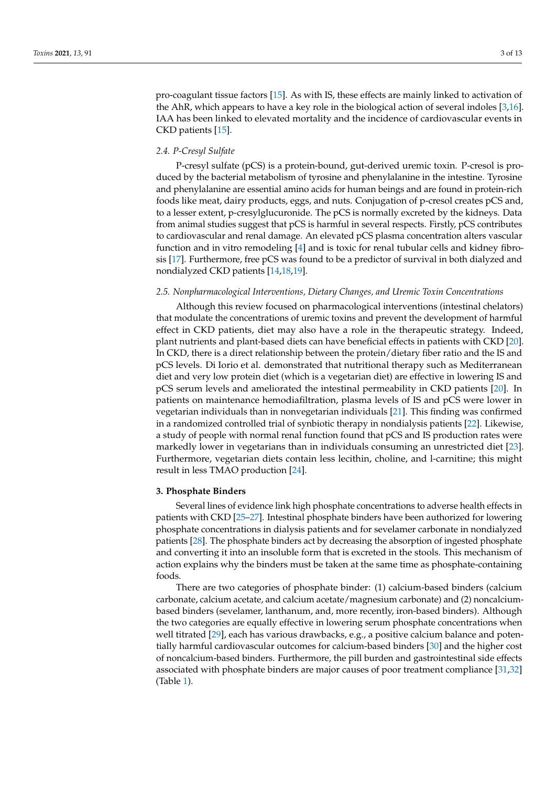pro-coagulant tissue factors [15]. As with IS, these effects are mainly linked to activation of the AhR, which appears to have a key role in the biological action of several indoles [3,16]. IAA has been linked to elevated mortality and the incidence of cardiovascular events in CKD patients [15].

# *2.4. P-Cresyl Sulfate*

P-cresyl sulfate (pCS) is a protein-bound, gut-derived uremic toxin. P-cresol is produced by the bacterial metabolism of tyrosine and phenylalanine in the intestine. Tyrosine and phenylalanine are essential amino acids for human beings and are found in protein-rich foods like meat, dairy products, eggs, and nuts. Conjugation of p-cresol creates pCS and, to a lesser extent, p-cresylglucuronide. The pCS is normally excreted by the kidneys. Data from animal studies suggest that pCS is harmful in several respects. Firstly, pCS contributes to cardiovascular and renal damage. An elevated pCS plasma concentration alters vascular function and in vitro remodeling [4] and is toxic for renal tubular cells and kidney fibrosis [17]. Furthermore, free pCS was found to be a predictor of survival in both dialyzed and nondialyzed CKD patients [14,18,19].

#### *2.5. Nonpharmacological Interventions, Dietary Changes, and Uremic Toxin Concentrations*

Although this review focused on pharmacological interventions (intestinal chelators) that modulate the concentrations of uremic toxins and prevent the development of harmful effect in CKD patients, diet may also have a role in the therapeutic strategy. Indeed, plant nutrients and plant-based diets can have beneficial effects in patients with CKD [20]. In CKD, there is a direct relationship between the protein/dietary fiber ratio and the IS and pCS levels. Di Iorio et al. demonstrated that nutritional therapy such as Mediterranean diet and very low protein diet (which is a vegetarian diet) are effective in lowering IS and pCS serum levels and ameliorated the intestinal permeability in CKD patients [20]. In patients on maintenance hemodiafiltration, plasma levels of IS and pCS were lower in vegetarian individuals than in nonvegetarian individuals [21]. This finding was confirmed in a randomized controlled trial of synbiotic therapy in nondialysis patients [22]. Likewise, a study of people with normal renal function found that pCS and IS production rates were markedly lower in vegetarians than in individuals consuming an unrestricted diet [23]. Furthermore, vegetarian diets contain less lecithin, choline, and l-carnitine; this might result in less TMAO production [24].

#### **3. Phosphate Binders**

Several lines of evidence link high phosphate concentrations to adverse health effects in patients with CKD [25–27]. Intestinal phosphate binders have been authorized for lowering phosphate concentrations in dialysis patients and for sevelamer carbonate in nondialyzed patients [28]. The phosphate binders act by decreasing the absorption of ingested phosphate and converting it into an insoluble form that is excreted in the stools. This mechanism of action explains why the binders must be taken at the same time as phosphate-containing foods.

There are two categories of phosphate binder: (1) calcium-based binders (calcium carbonate, calcium acetate, and calcium acetate/magnesium carbonate) and (2) noncalciumbased binders (sevelamer, lanthanum, and, more recently, iron-based binders). Although the two categories are equally effective in lowering serum phosphate concentrations when well titrated [29], each has various drawbacks, e.g., a positive calcium balance and potentially harmful cardiovascular outcomes for calcium-based binders [30] and the higher cost of noncalcium-based binders. Furthermore, the pill burden and gastrointestinal side effects associated with phosphate binders are major causes of poor treatment compliance [31,32] (Table 1).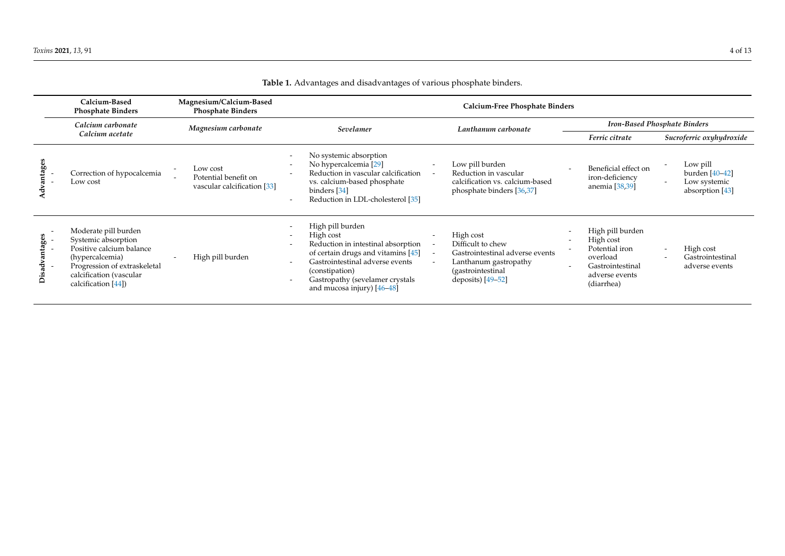|                    | Calcium-Based<br><b>Phosphate Binders</b>                                                                                                                                    | Magnesium/Calcium-Based<br><b>Phosphate Binders</b>             | Calcium-Free Phosphate Binders                                                                                                                                                                                                    |                          |                                                                                                                                        |  |                                                                                                                 |                          |                                                                 |
|--------------------|------------------------------------------------------------------------------------------------------------------------------------------------------------------------------|-----------------------------------------------------------------|-----------------------------------------------------------------------------------------------------------------------------------------------------------------------------------------------------------------------------------|--------------------------|----------------------------------------------------------------------------------------------------------------------------------------|--|-----------------------------------------------------------------------------------------------------------------|--------------------------|-----------------------------------------------------------------|
|                    | Calcium carbonate                                                                                                                                                            | Magnesium carbonate                                             | Sevelamer                                                                                                                                                                                                                         |                          | Lanthanum carbonate                                                                                                                    |  | <b>Iron-Based Phosphate Binders</b>                                                                             |                          |                                                                 |
|                    | Calcium acetate                                                                                                                                                              |                                                                 |                                                                                                                                                                                                                                   |                          |                                                                                                                                        |  | Ferric citrate                                                                                                  | Sucroferric oxyhydroxide |                                                                 |
|                    | Correction of hypocalcemia<br>Low cost                                                                                                                                       | Low cost<br>Potential benefit on<br>vascular calcification [33] | No systemic absorption<br>No hypercalcemia [29]<br>Reduction in vascular calcification<br>vs. calcium-based phosphate<br>binders [34]<br>Reduction in LDL-cholesterol [35]                                                        | $\overline{\phantom{a}}$ | Low pill burden<br>Reduction in vascular<br>calcification vs. calcium-based<br>phosphate binders [36,37]                               |  | Beneficial effect on<br>iron-deficiency<br>anemia [38,39]                                                       |                          | Low pill<br>burden $[40-42]$<br>Low systemic<br>absorption [43] |
| tages<br>İsad<br>≏ | Moderate pill burden<br>Systemic absorption<br>Positive calcium balance<br>(hypercalcemia)<br>Progression of extraskeletal<br>calcification (vascular<br>calcification [44]) | High pill burden                                                | High pill burden<br>High cost<br>Reduction in intestinal absorption<br>of certain drugs and vitamins [45]<br>Gastrointestinal adverse events<br>(constipation)<br>Gastropathy (sevelamer crystals<br>and mucosa injury) $[46-48]$ |                          | High cost<br>Difficult to chew<br>Gastrointestinal adverse events<br>Lanthanum gastropathy<br>(gastrointestinal<br>deposits) $[49-52]$ |  | High pill burden<br>High cost<br>Potential iron<br>overload<br>Gastrointestinal<br>adverse events<br>(diarrhea) |                          | High cost<br>Gastrointestinal<br>adverse events                 |

**Table 1.** Advantages and disadvantages of various phosphate binders.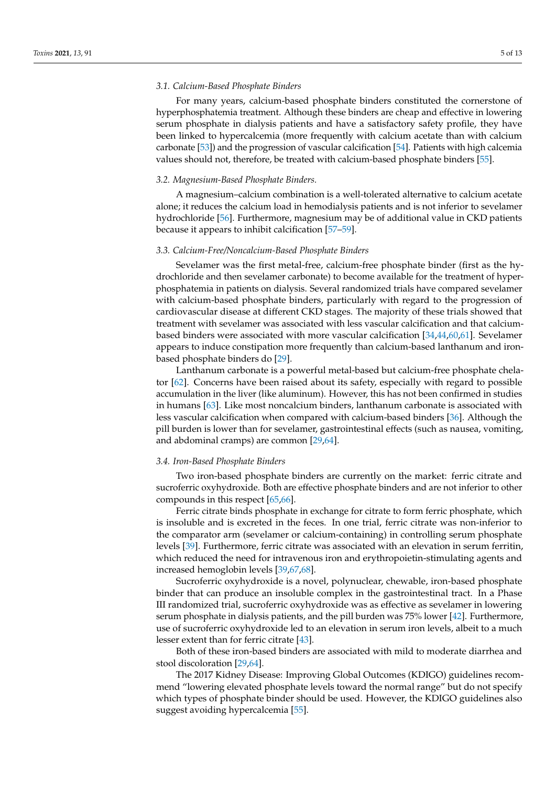#### *3.1. Calcium-Based Phosphate Binders*

For many years, calcium-based phosphate binders constituted the cornerstone of hyperphosphatemia treatment. Although these binders are cheap and effective in lowering serum phosphate in dialysis patients and have a satisfactory safety profile, they have been linked to hypercalcemia (more frequently with calcium acetate than with calcium carbonate [53]) and the progression of vascular calcification [54]. Patients with high calcemia values should not, therefore, be treated with calcium-based phosphate binders [55].

# *3.2. Magnesium-Based Phosphate Binders.*

A magnesium–calcium combination is a well-tolerated alternative to calcium acetate alone; it reduces the calcium load in hemodialysis patients and is not inferior to sevelamer hydrochloride [56]. Furthermore, magnesium may be of additional value in CKD patients because it appears to inhibit calcification [57–59].

#### *3.3. Calcium-Free/Noncalcium-Based Phosphate Binders*

Sevelamer was the first metal-free, calcium-free phosphate binder (first as the hydrochloride and then sevelamer carbonate) to become available for the treatment of hyperphosphatemia in patients on dialysis. Several randomized trials have compared sevelamer with calcium-based phosphate binders, particularly with regard to the progression of cardiovascular disease at different CKD stages. The majority of these trials showed that treatment with sevelamer was associated with less vascular calcification and that calciumbased binders were associated with more vascular calcification [34,44,60,61]. Sevelamer appears to induce constipation more frequently than calcium-based lanthanum and ironbased phosphate binders do [29].

Lanthanum carbonate is a powerful metal-based but calcium-free phosphate chelator [62]. Concerns have been raised about its safety, especially with regard to possible accumulation in the liver (like aluminum). However, this has not been confirmed in studies in humans [63]. Like most noncalcium binders, lanthanum carbonate is associated with less vascular calcification when compared with calcium-based binders [36]. Although the pill burden is lower than for sevelamer, gastrointestinal effects (such as nausea, vomiting, and abdominal cramps) are common [29,64].

#### *3.4. Iron-Based Phosphate Binders*

Two iron-based phosphate binders are currently on the market: ferric citrate and sucroferric oxyhydroxide. Both are effective phosphate binders and are not inferior to other compounds in this respect [65,66].

Ferric citrate binds phosphate in exchange for citrate to form ferric phosphate, which is insoluble and is excreted in the feces. In one trial, ferric citrate was non-inferior to the comparator arm (sevelamer or calcium-containing) in controlling serum phosphate levels [39]. Furthermore, ferric citrate was associated with an elevation in serum ferritin, which reduced the need for intravenous iron and erythropoietin-stimulating agents and increased hemoglobin levels [39,67,68].

Sucroferric oxyhydroxide is a novel, polynuclear, chewable, iron-based phosphate binder that can produce an insoluble complex in the gastrointestinal tract. In a Phase III randomized trial, sucroferric oxyhydroxide was as effective as sevelamer in lowering serum phosphate in dialysis patients, and the pill burden was 75% lower [42]. Furthermore, use of sucroferric oxyhydroxide led to an elevation in serum iron levels, albeit to a much lesser extent than for ferric citrate [43].

Both of these iron-based binders are associated with mild to moderate diarrhea and stool discoloration [29,64].

The 2017 Kidney Disease: Improving Global Outcomes (KDIGO) guidelines recommend "lowering elevated phosphate levels toward the normal range" but do not specify which types of phosphate binder should be used. However, the KDIGO guidelines also suggest avoiding hypercalcemia [55].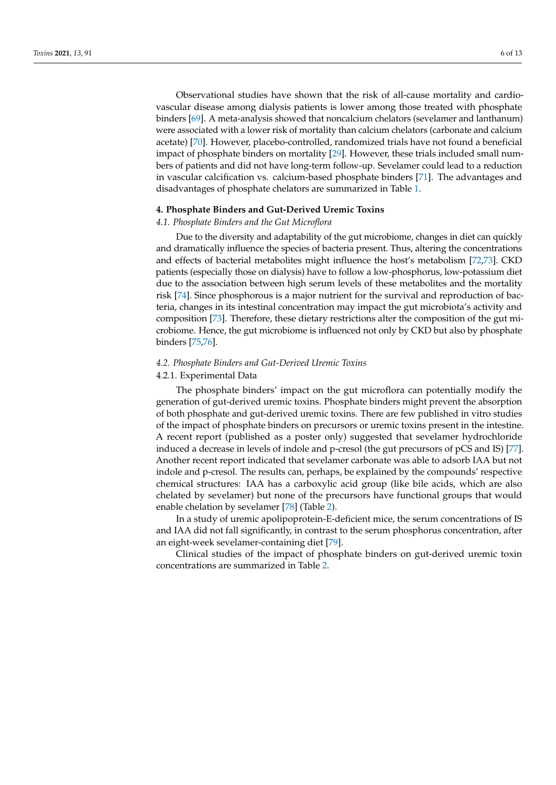Observational studies have shown that the risk of all-cause mortality and cardiovascular disease among dialysis patients is lower among those treated with phosphate binders [69]. A meta-analysis showed that noncalcium chelators (sevelamer and lanthanum) were associated with a lower risk of mortality than calcium chelators (carbonate and calcium acetate) [70]. However, placebo-controlled, randomized trials have not found a beneficial impact of phosphate binders on mortality [29]. However, these trials included small numbers of patients and did not have long-term follow-up. Sevelamer could lead to a reduction in vascular calcification vs. calcium-based phosphate binders [71]. The advantages and disadvantages of phosphate chelators are summarized in Table 1.

#### **4. Phosphate Binders and Gut-Derived Uremic Toxins**

# *4.1. Phosphate Binders and the Gut Microflora*

Due to the diversity and adaptability of the gut microbiome, changes in diet can quickly and dramatically influence the species of bacteria present. Thus, altering the concentrations and effects of bacterial metabolites might influence the host's metabolism [72,73]. CKD patients (especially those on dialysis) have to follow a low-phosphorus, low-potassium diet due to the association between high serum levels of these metabolites and the mortality risk [74]. Since phosphorous is a major nutrient for the survival and reproduction of bacteria, changes in its intestinal concentration may impact the gut microbiota's activity and composition [73]. Therefore, these dietary restrictions alter the composition of the gut microbiome. Hence, the gut microbiome is influenced not only by CKD but also by phosphate binders [75,76].

# *4.2. Phosphate Binders and Gut-Derived Uremic Toxins*

#### 4.2.1. Experimental Data

The phosphate binders' impact on the gut microflora can potentially modify the generation of gut-derived uremic toxins. Phosphate binders might prevent the absorption of both phosphate and gut-derived uremic toxins. There are few published in vitro studies of the impact of phosphate binders on precursors or uremic toxins present in the intestine. A recent report (published as a poster only) suggested that sevelamer hydrochloride induced a decrease in levels of indole and p-cresol (the gut precursors of pCS and IS) [77]. Another recent report indicated that sevelamer carbonate was able to adsorb IAA but not indole and p-cresol. The results can, perhaps, be explained by the compounds' respective chemical structures: IAA has a carboxylic acid group (like bile acids, which are also chelated by sevelamer) but none of the precursors have functional groups that would enable chelation by sevelamer [78] (Table 2).

In a study of uremic apolipoprotein-E-deficient mice, the serum concentrations of IS and IAA did not fall significantly, in contrast to the serum phosphorus concentration, after an eight-week sevelamer-containing diet [79].

Clinical studies of the impact of phosphate binders on gut-derived uremic toxin concentrations are summarized in Table 2.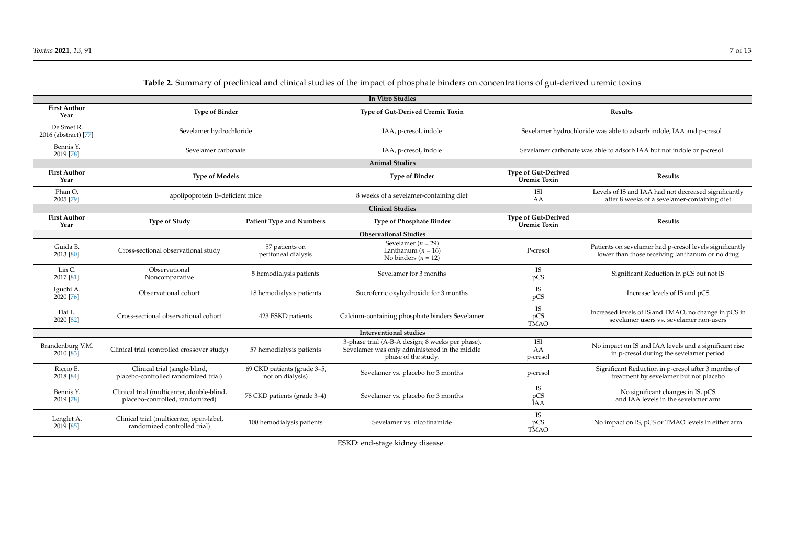| In Vitro Studies                                     |                                                                               |                                                 |                                                                                                                          |                                                                       |                                                                                                            |  |  |  |  |  |  |
|------------------------------------------------------|-------------------------------------------------------------------------------|-------------------------------------------------|--------------------------------------------------------------------------------------------------------------------------|-----------------------------------------------------------------------|------------------------------------------------------------------------------------------------------------|--|--|--|--|--|--|
| <b>First Author</b><br>Year                          | <b>Type of Binder</b>                                                         |                                                 | Type of Gut-Derived Uremic Toxin                                                                                         | Results                                                               |                                                                                                            |  |  |  |  |  |  |
| De Smet R.<br>2016 (abstract) [77]                   | Sevelamer hydrochloride                                                       |                                                 | IAA, p-cresol, indole                                                                                                    | Sevelamer hydrochloride was able to adsorb indole, IAA and p-cresol   |                                                                                                            |  |  |  |  |  |  |
| Bennis Y.<br>2019 [78]                               | Sevelamer carbonate                                                           |                                                 | IAA, p-cresol, indole                                                                                                    | Sevelamer carbonate was able to adsorb IAA but not indole or p-cresol |                                                                                                            |  |  |  |  |  |  |
|                                                      |                                                                               |                                                 | <b>Animal Studies</b>                                                                                                    |                                                                       |                                                                                                            |  |  |  |  |  |  |
| <b>First Author</b><br><b>Type of Models</b><br>Year |                                                                               |                                                 | <b>Type of Binder</b>                                                                                                    | <b>Type of Gut-Derived</b><br><b>Uremic Toxin</b>                     | Results                                                                                                    |  |  |  |  |  |  |
| Phan O.<br>2005 [79]                                 | apolipoprotein E-deficient mice                                               |                                                 | 8 weeks of a sevelamer-containing diet                                                                                   | ISI<br>AA                                                             | Levels of IS and IAA had not decreased significantly<br>after 8 weeks of a sevelamer-containing diet       |  |  |  |  |  |  |
| <b>Clinical Studies</b>                              |                                                                               |                                                 |                                                                                                                          |                                                                       |                                                                                                            |  |  |  |  |  |  |
| <b>First Author</b><br>Year                          | <b>Type of Study</b>                                                          | <b>Patient Type and Numbers</b>                 | <b>Type of Phosphate Binder</b>                                                                                          | <b>Type of Gut-Derived</b><br><b>Uremic Toxin</b>                     | Results                                                                                                    |  |  |  |  |  |  |
| <b>Observational Studies</b>                         |                                                                               |                                                 |                                                                                                                          |                                                                       |                                                                                                            |  |  |  |  |  |  |
| Guida B.<br>2013 [80]                                | Cross-sectional observational study                                           | 57 patients on<br>peritoneal dialysis           | Sevelamer ( $n = 29$ )<br>Lanthanum $(n = 16)$<br>No binders $(n = 12)$                                                  | P-cresol                                                              | Patients on sevelamer had p-cresol levels significantly<br>lower than those receiving lanthanum or no drug |  |  |  |  |  |  |
| Lin C.<br>2017 [81]                                  | Observational<br>Noncomparative                                               | 5 hemodialysis patients                         | Sevelamer for 3 months                                                                                                   | <b>IS</b><br>pCS                                                      | Significant Reduction in pCS but not IS                                                                    |  |  |  |  |  |  |
| Iguchi A.<br>2020 [76]                               | Observational cohort                                                          | 18 hemodialysis patients                        | Sucroferric oxyhydroxide for 3 months                                                                                    | <b>IS</b><br>pCS                                                      | Increase levels of IS and pCS                                                                              |  |  |  |  |  |  |
| Dai L.<br>2020 [82]                                  | Cross-sectional observational cohort                                          | 423 ESKD patients                               | Calcium-containing phosphate binders Sevelamer                                                                           | <b>IS</b><br>pCS<br><b>TMAO</b>                                       | Increased levels of IS and TMAO, no change in pCS in<br>sevelamer users vs. sevelamer non-users            |  |  |  |  |  |  |
| <b>Interventional studies</b>                        |                                                                               |                                                 |                                                                                                                          |                                                                       |                                                                                                            |  |  |  |  |  |  |
| Brandenburg V.M.<br>2010 [83]                        | Clinical trial (controlled crossover study)                                   | 57 hemodialysis patients                        | 3-phase trial (A-B-A design; 8 weeks per phase).<br>Sevelamer was only administered in the middle<br>phase of the study. | <b>ISI</b><br>AA<br>p-cresol                                          | No impact on IS and IAA levels and a significant rise<br>in p-cresol during the sevelamer period           |  |  |  |  |  |  |
| Riccio E.<br>2018 [84]                               | Clinical trial (single-blind,<br>placebo-controlled randomized trial)         | 69 CKD patients (grade 3-5,<br>not on dialysis) | Sevelamer vs. placebo for 3 months                                                                                       | p-cresol                                                              | Significant Reduction in p-cresol after 3 months of<br>treatment by sevelamer but not placebo              |  |  |  |  |  |  |
| Bennis Y.<br>2019 [78]                               | Clinical trial (multicenter, double-blind,<br>placebo-controlled, randomized) | 78 CKD patients (grade 3-4)                     | Sevelamer vs. placebo for 3 months                                                                                       | <b>IS</b><br>pCS<br>IAA                                               | No significant changes in IS, pCS<br>and IAA levels in the sevelamer arm                                   |  |  |  |  |  |  |
| Lenglet A.<br>$2019$ [85]                            | Clinical trial (multicenter, open-label,<br>randomized controlled trial)      | 100 hemodialysis patients                       | Sevelamer vs. nicotinamide                                                                                               | <b>IS</b><br>pCS<br><b>TMAO</b>                                       | No impact on IS, pCS or TMAO levels in either arm                                                          |  |  |  |  |  |  |

# **Table 2.** Summary of preclinical and clinical studies of the impact of phosphate binders on concentrations of gut-derived uremic toxins

ESKD: end-stage kidney disease.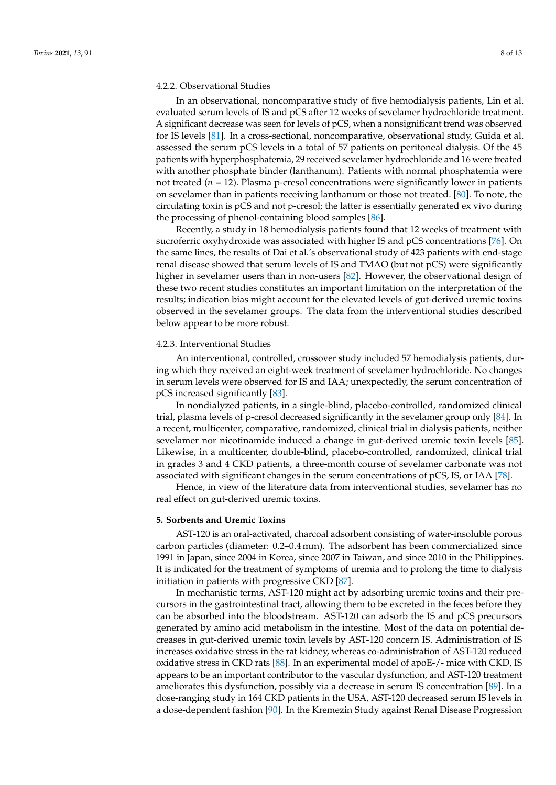#### 4.2.2. Observational Studies

In an observational, noncomparative study of five hemodialysis patients, Lin et al. evaluated serum levels of IS and pCS after 12 weeks of sevelamer hydrochloride treatment. A significant decrease was seen for levels of pCS, when a nonsignificant trend was observed for IS levels [81]. In a cross-sectional, noncomparative, observational study, Guida et al. assessed the serum pCS levels in a total of 57 patients on peritoneal dialysis. Of the 45 patients with hyperphosphatemia, 29 received sevelamer hydrochloride and 16 were treated with another phosphate binder (lanthanum). Patients with normal phosphatemia were not treated  $(n = 12)$ . Plasma p-cresol concentrations were significantly lower in patients on sevelamer than in patients receiving lanthanum or those not treated. [80]. To note, the circulating toxin is pCS and not p-cresol; the latter is essentially generated ex vivo during the processing of phenol-containing blood samples [86].

Recently, a study in 18 hemodialysis patients found that 12 weeks of treatment with sucroferric oxyhydroxide was associated with higher IS and pCS concentrations [76]. On the same lines, the results of Dai et al.'s observational study of 423 patients with end-stage renal disease showed that serum levels of IS and TMAO (but not pCS) were significantly higher in sevelamer users than in non-users [82]. However, the observational design of these two recent studies constitutes an important limitation on the interpretation of the results; indication bias might account for the elevated levels of gut-derived uremic toxins observed in the sevelamer groups. The data from the interventional studies described below appear to be more robust.

#### 4.2.3. Interventional Studies

An interventional, controlled, crossover study included 57 hemodialysis patients, during which they received an eight-week treatment of sevelamer hydrochloride. No changes in serum levels were observed for IS and IAA; unexpectedly, the serum concentration of pCS increased significantly [83].

In nondialyzed patients, in a single-blind, placebo-controlled, randomized clinical trial, plasma levels of p-cresol decreased significantly in the sevelamer group only [84]. In a recent, multicenter, comparative, randomized, clinical trial in dialysis patients, neither sevelamer nor nicotinamide induced a change in gut-derived uremic toxin levels [85]. Likewise, in a multicenter, double-blind, placebo-controlled, randomized, clinical trial in grades 3 and 4 CKD patients, a three-month course of sevelamer carbonate was not associated with significant changes in the serum concentrations of pCS, IS, or IAA [78].

Hence, in view of the literature data from interventional studies, sevelamer has no real effect on gut-derived uremic toxins.

#### **5. Sorbents and Uremic Toxins**

AST-120 is an oral-activated, charcoal adsorbent consisting of water-insoluble porous carbon particles (diameter: 0.2–0.4 mm). The adsorbent has been commercialized since 1991 in Japan, since 2004 in Korea, since 2007 in Taiwan, and since 2010 in the Philippines. It is indicated for the treatment of symptoms of uremia and to prolong the time to dialysis initiation in patients with progressive CKD [87].

In mechanistic terms, AST-120 might act by adsorbing uremic toxins and their precursors in the gastrointestinal tract, allowing them to be excreted in the feces before they can be absorbed into the bloodstream. AST-120 can adsorb the IS and pCS precursors generated by amino acid metabolism in the intestine. Most of the data on potential decreases in gut-derived uremic toxin levels by AST-120 concern IS. Administration of IS increases oxidative stress in the rat kidney, whereas co-administration of AST-120 reduced oxidative stress in CKD rats [88]. In an experimental model of apoE-/- mice with CKD, IS appears to be an important contributor to the vascular dysfunction, and AST-120 treatment ameliorates this dysfunction, possibly via a decrease in serum IS concentration [89]. In a dose-ranging study in 164 CKD patients in the USA, AST-120 decreased serum IS levels in a dose-dependent fashion [90]. In the Kremezin Study against Renal Disease Progression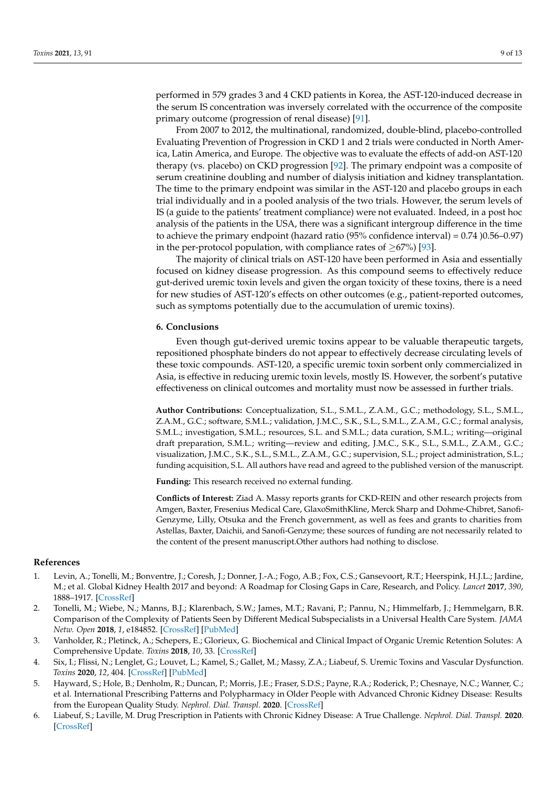performed in 579 grades 3 and 4 CKD patients in Korea, the AST-120-induced decrease in the serum IS concentration was inversely correlated with the occurrence of the composite primary outcome (progression of renal disease) [91].

From 2007 to 2012, the multinational, randomized, double-blind, placebo-controlled Evaluating Prevention of Progression in CKD 1 and 2 trials were conducted in North America, Latin America, and Europe. The objective was to evaluate the effects of add-on AST-120 therapy (vs. placebo) on CKD progression [92]. The primary endpoint was a composite of serum creatinine doubling and number of dialysis initiation and kidney transplantation. The time to the primary endpoint was similar in the AST-120 and placebo groups in each trial individually and in a pooled analysis of the two trials. However, the serum levels of IS (a guide to the patients' treatment compliance) were not evaluated. Indeed, in a post hoc analysis of the patients in the USA, there was a significant intergroup difference in the time to achieve the primary endpoint (hazard ratio (95% confidence interval) = 0.74 )0.56–0.97) in the per-protocol population, with compliance rates of  $\geq$ 67%) [93].

The majority of clinical trials on AST-120 have been performed in Asia and essentially focused on kidney disease progression. As this compound seems to effectively reduce gut-derived uremic toxin levels and given the organ toxicity of these toxins, there is a need for new studies of AST-120's effects on other outcomes (e.g., patient-reported outcomes, such as symptoms potentially due to the accumulation of uremic toxins).

# **6. Conclusions**

Even though gut-derived uremic toxins appear to be valuable therapeutic targets, repositioned phosphate binders do not appear to effectively decrease circulating levels of these toxic compounds. AST-120, a specific uremic toxin sorbent only commercialized in Asia, is effective in reducing uremic toxin levels, mostly IS. However, the sorbent's putative effectiveness on clinical outcomes and mortality must now be assessed in further trials.

**Author Contributions:** Conceptualization, S.L., S.M.L., Z.A.M., G.C.; methodology, S.L., S.M.L., Z.A.M., G.C.; software, S.M.L.; validation, J.M.C., S.K., S.L., S.M.L., Z.A.M., G.C.; formal analysis, S.M.L.; investigation, S.M.L.; resources, S.L. and S.M.L.; data curation, S.M.L.; writing—original draft preparation, S.M.L.; writing—review and editing, J.M.C., S.K., S.L., S.M.L., Z.A.M., G.C.; visualization, J.M.C., S.K., S.L., S.M.L., Z.A.M., G.C.; supervision, S.L.; project administration, S.L.; funding acquisition, S.L. All authors have read and agreed to the published version of the manuscript.

**Funding:** This research received no external funding.

**Conflicts of Interest:** Ziad A. Massy reports grants for CKD-REIN and other research projects from Amgen, Baxter, Fresenius Medical Care, GlaxoSmithKline, Merck Sharp and Dohme-Chibret, Sanofi-Genzyme, Lilly, Otsuka and the French government, as well as fees and grants to charities from Astellas, Baxter, Daichii, and Sanofi-Genzyme; these sources of funding are not necessarily related to the content of the present manuscript.Other authors had nothing to disclose.

#### **References**

- 1. Levin, A.; Tonelli, M.; Bonventre, J.; Coresh, J.; Donner, J.-A.; Fogo, A.B.; Fox, C.S.; Gansevoort, R.T.; Heerspink, H.J.L.; Jardine, M.; et al. Global Kidney Health 2017 and beyond: A Roadmap for Closing Gaps in Care, Research, and Policy. *Lancet* **2017**, *390*, 1888–1917. [\[CrossRef\]](http://doi.org/10.1016/S0140-6736(17)30788-2)
- 2. Tonelli, M.; Wiebe, N.; Manns, B.J.; Klarenbach, S.W.; James, M.T.; Ravani, P.; Pannu, N.; Himmelfarb, J.; Hemmelgarn, B.R. Comparison of the Complexity of Patients Seen by Different Medical Subspecialists in a Universal Health Care System. *JAMA Netw. Open* **2018**, *1*, e184852. [\[CrossRef\]](http://doi.org/10.1001/jamanetworkopen.2018.4852) [\[PubMed\]](http://www.ncbi.nlm.nih.gov/pubmed/30646392)
- 3. Vanholder, R.; Pletinck, A.; Schepers, E.; Glorieux, G. Biochemical and Clinical Impact of Organic Uremic Retention Solutes: A Comprehensive Update. *Toxins* **2018**, *10*, 33. [\[CrossRef\]](http://doi.org/10.3390/toxins10010033)
- 4. Six, I.; Flissi, N.; Lenglet, G.; Louvet, L.; Kamel, S.; Gallet, M.; Massy, Z.A.; Liabeuf, S. Uremic Toxins and Vascular Dysfunction. *Toxins* **2020**, *12*, 404. [\[CrossRef\]](http://doi.org/10.3390/toxins12060404) [\[PubMed\]](http://www.ncbi.nlm.nih.gov/pubmed/32570781)
- 5. Hayward, S.; Hole, B.; Denholm, R.; Duncan, P.; Morris, J.E.; Fraser, S.D.S.; Payne, R.A.; Roderick, P.; Chesnaye, N.C.; Wanner, C.; et al. International Prescribing Patterns and Polypharmacy in Older People with Advanced Chronic Kidney Disease: Results from the European Quality Study. *Nephrol. Dial. Transpl.* **2020**. [\[CrossRef\]](http://doi.org/10.1093/ndt/gfaa064)
- 6. Liabeuf, S.; Laville, M. Drug Prescription in Patients with Chronic Kidney Disease: A True Challenge. *Nephrol. Dial. Transpl.* **2020**. [\[CrossRef\]](http://doi.org/10.1093/ndt/gfaa164)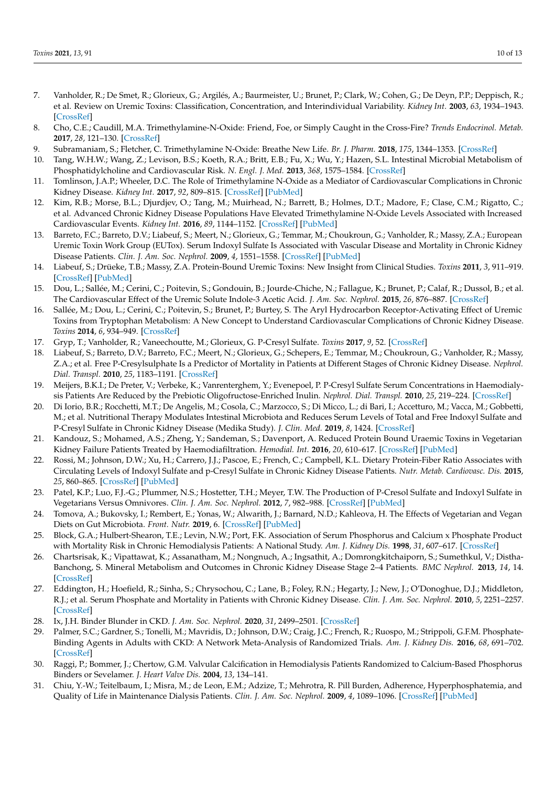- 7. Vanholder, R.; De Smet, R.; Glorieux, G.; Argilés, A.; Baurmeister, U.; Brunet, P.; Clark, W.; Cohen, G.; De Deyn, P.P.; Deppisch, R.; et al. Review on Uremic Toxins: Classification, Concentration, and Interindividual Variability. *Kidney Int.* **2003**, *63*, 1934–1943. [\[CrossRef\]](http://doi.org/10.1046/j.1523-1755.2003.00924.x)
- 8. Cho, C.E.; Caudill, M.A. Trimethylamine-N-Oxide: Friend, Foe, or Simply Caught in the Cross-Fire? *Trends Endocrinol. Metab.* **2017**, *28*, 121–130. [\[CrossRef\]](http://doi.org/10.1016/j.tem.2016.10.005)
- 9. Subramaniam, S.; Fletcher, C. Trimethylamine N-Oxide: Breathe New Life. *Br. J. Pharm.* **2018**, *175*, 1344–1353. [\[CrossRef\]](http://doi.org/10.1111/bph.13959)
- 10. Tang, W.H.W.; Wang, Z.; Levison, B.S.; Koeth, R.A.; Britt, E.B.; Fu, X.; Wu, Y.; Hazen, S.L. Intestinal Microbial Metabolism of Phosphatidylcholine and Cardiovascular Risk. *N. Engl. J. Med.* **2013**, *368*, 1575–1584. [\[CrossRef\]](http://doi.org/10.1056/NEJMoa1109400)
- 11. Tomlinson, J.A.P.; Wheeler, D.C. The Role of Trimethylamine N-Oxide as a Mediator of Cardiovascular Complications in Chronic Kidney Disease. *Kidney Int.* **2017**, *92*, 809–815. [\[CrossRef\]](http://doi.org/10.1016/j.kint.2017.03.053) [\[PubMed\]](http://www.ncbi.nlm.nih.gov/pubmed/28807612)
- 12. Kim, R.B.; Morse, B.L.; Djurdjev, O.; Tang, M.; Muirhead, N.; Barrett, B.; Holmes, D.T.; Madore, F.; Clase, C.M.; Rigatto, C.; et al. Advanced Chronic Kidney Disease Populations Have Elevated Trimethylamine N-Oxide Levels Associated with Increased Cardiovascular Events. *Kidney Int.* **2016**, *89*, 1144–1152. [\[CrossRef\]](http://doi.org/10.1016/j.kint.2016.01.014) [\[PubMed\]](http://www.ncbi.nlm.nih.gov/pubmed/27083288)
- 13. Barreto, F.C.; Barreto, D.V.; Liabeuf, S.; Meert, N.; Glorieux, G.; Temmar, M.; Choukroun, G.; Vanholder, R.; Massy, Z.A.; European Uremic Toxin Work Group (EUTox). Serum Indoxyl Sulfate Is Associated with Vascular Disease and Mortality in Chronic Kidney Disease Patients. *Clin. J. Am. Soc. Nephrol.* **2009**, *4*, 1551–1558. [\[CrossRef\]](http://doi.org/10.2215/CJN.03980609) [\[PubMed\]](http://www.ncbi.nlm.nih.gov/pubmed/19696217)
- 14. Liabeuf, S.; Drüeke, T.B.; Massy, Z.A. Protein-Bound Uremic Toxins: New Insight from Clinical Studies. *Toxins* **2011**, *3*, 911–919. [\[CrossRef\]](http://doi.org/10.3390/toxins3070911) [\[PubMed\]](http://www.ncbi.nlm.nih.gov/pubmed/22069747)
- 15. Dou, L.; Sallée, M.; Cerini, C.; Poitevin, S.; Gondouin, B.; Jourde-Chiche, N.; Fallague, K.; Brunet, P.; Calaf, R.; Dussol, B.; et al. The Cardiovascular Effect of the Uremic Solute Indole-3 Acetic Acid. *J. Am. Soc. Nephrol.* **2015**, *26*, 876–887. [\[CrossRef\]](http://doi.org/10.1681/ASN.2013121283)
- 16. Sallée, M.; Dou, L.; Cerini, C.; Poitevin, S.; Brunet, P.; Burtey, S. The Aryl Hydrocarbon Receptor-Activating Effect of Uremic Toxins from Tryptophan Metabolism: A New Concept to Understand Cardiovascular Complications of Chronic Kidney Disease. *Toxins* **2014**, *6*, 934–949. [\[CrossRef\]](http://doi.org/10.3390/toxins6030934)
- 17. Gryp, T.; Vanholder, R.; Vaneechoutte, M.; Glorieux, G. P-Cresyl Sulfate. *Toxins* **2017**, *9*, 52. [\[CrossRef\]](http://doi.org/10.3390/toxins9020052)
- 18. Liabeuf, S.; Barreto, D.V.; Barreto, F.C.; Meert, N.; Glorieux, G.; Schepers, E.; Temmar, M.; Choukroun, G.; Vanholder, R.; Massy, Z.A.; et al. Free P-Cresylsulphate Is a Predictor of Mortality in Patients at Different Stages of Chronic Kidney Disease. *Nephrol. Dial. Transpl.* **2010**, *25*, 1183–1191. [\[CrossRef\]](http://doi.org/10.1093/ndt/gfp592)
- 19. Meijers, B.K.I.; De Preter, V.; Verbeke, K.; Vanrenterghem, Y.; Evenepoel, P. P-Cresyl Sulfate Serum Concentrations in Haemodialysis Patients Are Reduced by the Prebiotic Oligofructose-Enriched Inulin. *Nephrol. Dial. Transpl.* **2010**, *25*, 219–224. [\[CrossRef\]](http://doi.org/10.1093/ndt/gfp414)
- 20. Di Iorio, B.R.; Rocchetti, M.T.; De Angelis, M.; Cosola, C.; Marzocco, S.; Di Micco, L.; di Bari, I.; Accetturo, M.; Vacca, M.; Gobbetti, M.; et al. Nutritional Therapy Modulates Intestinal Microbiota and Reduces Serum Levels of Total and Free Indoxyl Sulfate and P-Cresyl Sulfate in Chronic Kidney Disease (Medika Study). *J. Clin. Med.* **2019**, *8*, 1424. [\[CrossRef\]](http://doi.org/10.3390/jcm8091424)
- 21. Kandouz, S.; Mohamed, A.S.; Zheng, Y.; Sandeman, S.; Davenport, A. Reduced Protein Bound Uraemic Toxins in Vegetarian Kidney Failure Patients Treated by Haemodiafiltration. *Hemodial. Int.* **2016**, *20*, 610–617. [\[CrossRef\]](http://doi.org/10.1111/hdi.12414) [\[PubMed\]](http://www.ncbi.nlm.nih.gov/pubmed/27044443)
- 22. Rossi, M.; Johnson, D.W.; Xu, H.; Carrero, J.J.; Pascoe, E.; French, C.; Campbell, K.L. Dietary Protein-Fiber Ratio Associates with Circulating Levels of Indoxyl Sulfate and p-Cresyl Sulfate in Chronic Kidney Disease Patients. *Nutr. Metab. Cardiovasc. Dis.* **2015**, *25*, 860–865. [\[CrossRef\]](http://doi.org/10.1016/j.numecd.2015.03.015) [\[PubMed\]](http://www.ncbi.nlm.nih.gov/pubmed/26026209)
- 23. Patel, K.P.; Luo, F.J.-G.; Plummer, N.S.; Hostetter, T.H.; Meyer, T.W. The Production of P-Cresol Sulfate and Indoxyl Sulfate in Vegetarians Versus Omnivores. *Clin. J. Am. Soc. Nephrol.* **2012**, *7*, 982–988. [\[CrossRef\]](http://doi.org/10.2215/CJN.12491211) [\[PubMed\]](http://www.ncbi.nlm.nih.gov/pubmed/22490877)
- 24. Tomova, A.; Bukovsky, I.; Rembert, E.; Yonas, W.; Alwarith, J.; Barnard, N.D.; Kahleova, H. The Effects of Vegetarian and Vegan Diets on Gut Microbiota. *Front. Nutr.* **2019**, 6. [\[CrossRef\]](http://doi.org/10.3389/fnut.2019.00047) [\[PubMed\]](http://www.ncbi.nlm.nih.gov/pubmed/31058160)
- 25. Block, G.A.; Hulbert-Shearon, T.E.; Levin, N.W.; Port, F.K. Association of Serum Phosphorus and Calcium x Phosphate Product with Mortality Risk in Chronic Hemodialysis Patients: A National Study. *Am. J. Kidney Dis.* **1998**, *31*, 607–617. [\[CrossRef\]](http://doi.org/10.1053/ajkd.1998.v31.pm9531176)
- 26. Chartsrisak, K.; Vipattawat, K.; Assanatham, M.; Nongnuch, A.; Ingsathit, A.; Domrongkitchaiporn, S.; Sumethkul, V.; Distha-Banchong, S. Mineral Metabolism and Outcomes in Chronic Kidney Disease Stage 2–4 Patients. *BMC Nephrol.* **2013**, *14*, 14. [\[CrossRef\]](http://doi.org/10.1186/1471-2369-14-14)
- 27. Eddington, H.; Hoefield, R.; Sinha, S.; Chrysochou, C.; Lane, B.; Foley, R.N.; Hegarty, J.; New, J.; O'Donoghue, D.J.; Middleton, R.J.; et al. Serum Phosphate and Mortality in Patients with Chronic Kidney Disease. *Clin. J. Am. Soc. Nephrol.* **2010**, *5*, 2251–2257. [\[CrossRef\]](http://doi.org/10.2215/CJN.00810110)
- 28. Ix, J.H. Binder Blunder in CKD. *J. Am. Soc. Nephrol.* **2020**, *31*, 2499–2501. [\[CrossRef\]](http://doi.org/10.1681/ASN.2020081182)
- 29. Palmer, S.C.; Gardner, S.; Tonelli, M.; Mavridis, D.; Johnson, D.W.; Craig, J.C.; French, R.; Ruospo, M.; Strippoli, G.F.M. Phosphate-Binding Agents in Adults with CKD: A Network Meta-Analysis of Randomized Trials. *Am. J. Kidney Dis.* **2016**, *68*, 691–702. [\[CrossRef\]](http://doi.org/10.1053/j.ajkd.2016.05.015)
- 30. Raggi, P.; Bommer, J.; Chertow, G.M. Valvular Calcification in Hemodialysis Patients Randomized to Calcium-Based Phosphorus Binders or Sevelamer. *J. Heart Valve Dis.* **2004**, *13*, 134–141.
- 31. Chiu, Y.-W.; Teitelbaum, I.; Misra, M.; de Leon, E.M.; Adzize, T.; Mehrotra, R. Pill Burden, Adherence, Hyperphosphatemia, and Quality of Life in Maintenance Dialysis Patients. *Clin. J. Am. Soc. Nephrol.* **2009**, *4*, 1089–1096. [\[CrossRef\]](http://doi.org/10.2215/CJN.00290109) [\[PubMed\]](http://www.ncbi.nlm.nih.gov/pubmed/19423571)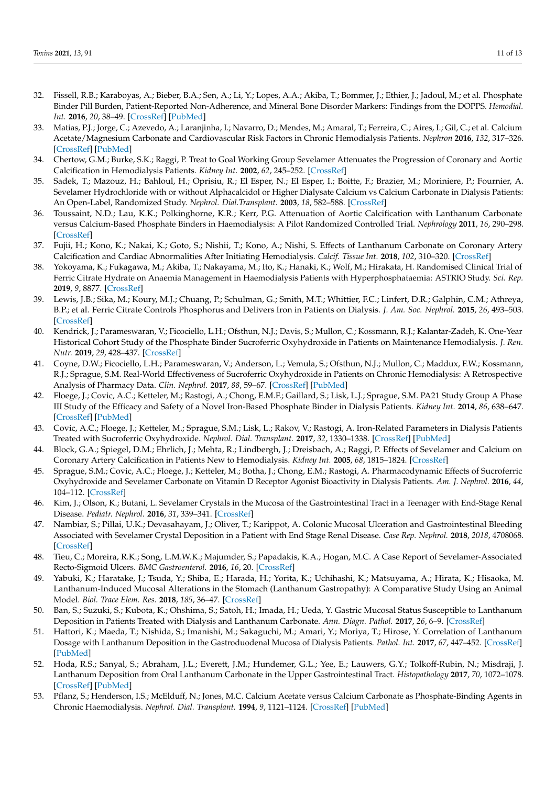- 32. Fissell, R.B.; Karaboyas, A.; Bieber, B.A.; Sen, A.; Li, Y.; Lopes, A.A.; Akiba, T.; Bommer, J.; Ethier, J.; Jadoul, M.; et al. Phosphate Binder Pill Burden, Patient-Reported Non-Adherence, and Mineral Bone Disorder Markers: Findings from the DOPPS. *Hemodial. Int.* **2016**, *20*, 38–49. [\[CrossRef\]](http://doi.org/10.1111/hdi.12315) [\[PubMed\]](http://www.ncbi.nlm.nih.gov/pubmed/25975222)
- 33. Matias, P.J.; Jorge, C.; Azevedo, A.; Laranjinha, I.; Navarro, D.; Mendes, M.; Amaral, T.; Ferreira, C.; Aires, I.; Gil, C.; et al. Calcium Acetate/Magnesium Carbonate and Cardiovascular Risk Factors in Chronic Hemodialysis Patients. *Nephron* **2016**, *132*, 317–326. [\[CrossRef\]](http://doi.org/10.1159/000444421) [\[PubMed\]](http://www.ncbi.nlm.nih.gov/pubmed/27023929)
- 34. Chertow, G.M.; Burke, S.K.; Raggi, P. Treat to Goal Working Group Sevelamer Attenuates the Progression of Coronary and Aortic Calcification in Hemodialysis Patients. *Kidney Int.* **2002**, *62*, 245–252. [\[CrossRef\]](http://doi.org/10.1046/j.1523-1755.2002.00434.x)
- 35. Sadek, T.; Mazouz, H.; Bahloul, H.; Oprisiu, R.; El Esper, N.; El Esper, I.; Boitte, F.; Brazier, M.; Moriniere, P.; Fournier, A. Sevelamer Hydrochloride with or without Alphacalcidol or Higher Dialysate Calcium vs Calcium Carbonate in Dialysis Patients: An Open-Label, Randomized Study. *Nephrol. Dial.Transplant.* **2003**, *18*, 582–588. [\[CrossRef\]](http://doi.org/10.1093/ndt/18.3.582)
- 36. Toussaint, N.D.; Lau, K.K.; Polkinghorne, K.R.; Kerr, P.G. Attenuation of Aortic Calcification with Lanthanum Carbonate versus Calcium-Based Phosphate Binders in Haemodialysis: A Pilot Randomized Controlled Trial. *Nephrology* **2011**, *16*, 290–298. [\[CrossRef\]](http://doi.org/10.1111/j.1440-1797.2010.01412.x)
- 37. Fujii, H.; Kono, K.; Nakai, K.; Goto, S.; Nishii, T.; Kono, A.; Nishi, S. Effects of Lanthanum Carbonate on Coronary Artery Calcification and Cardiac Abnormalities After Initiating Hemodialysis. *Calcif. Tissue Int.* **2018**, *102*, 310–320. [\[CrossRef\]](http://doi.org/10.1007/s00223-017-0347-3)
- 38. Yokoyama, K.; Fukagawa, M.; Akiba, T.; Nakayama, M.; Ito, K.; Hanaki, K.; Wolf, M.; Hirakata, H. Randomised Clinical Trial of Ferric Citrate Hydrate on Anaemia Management in Haemodialysis Patients with Hyperphosphataemia: ASTRIO Study. *Sci. Rep.* **2019**, *9*, 8877. [\[CrossRef\]](http://doi.org/10.1038/s41598-019-45335-4)
- 39. Lewis, J.B.; Sika, M.; Koury, M.J.; Chuang, P.; Schulman, G.; Smith, M.T.; Whittier, F.C.; Linfert, D.R.; Galphin, C.M.; Athreya, B.P.; et al. Ferric Citrate Controls Phosphorus and Delivers Iron in Patients on Dialysis. *J. Am. Soc. Nephrol.* **2015**, *26*, 493–503. [\[CrossRef\]](http://doi.org/10.1681/ASN.2014020212)
- 40. Kendrick, J.; Parameswaran, V.; Ficociello, L.H.; Ofsthun, N.J.; Davis, S.; Mullon, C.; Kossmann, R.J.; Kalantar-Zadeh, K. One-Year Historical Cohort Study of the Phosphate Binder Sucroferric Oxyhydroxide in Patients on Maintenance Hemodialysis. *J. Ren. Nutr.* **2019**, *29*, 428–437. [\[CrossRef\]](http://doi.org/10.1053/j.jrn.2018.11.002)
- 41. Coyne, D.W.; Ficociello, L.H.; Parameswaran, V.; Anderson, L.; Vemula, S.; Ofsthun, N.J.; Mullon, C.; Maddux, F.W.; Kossmann, R.J.; Sprague, S.M. Real-World Effectiveness of Sucroferric Oxyhydroxide in Patients on Chronic Hemodialysis: A Retrospective Analysis of Pharmacy Data. *Clin. Nephrol.* **2017**, *88*, 59–67. [\[CrossRef\]](http://doi.org/10.5414/CN109021) [\[PubMed\]](http://www.ncbi.nlm.nih.gov/pubmed/28587714)
- 42. Floege, J.; Covic, A.C.; Ketteler, M.; Rastogi, A.; Chong, E.M.F.; Gaillard, S.; Lisk, L.J.; Sprague, S.M. PA21 Study Group A Phase III Study of the Efficacy and Safety of a Novel Iron-Based Phosphate Binder in Dialysis Patients. *Kidney Int.* **2014**, *86*, 638–647. [\[CrossRef\]](http://doi.org/10.1038/ki.2014.58) [\[PubMed\]](http://www.ncbi.nlm.nih.gov/pubmed/24646861)
- 43. Covic, A.C.; Floege, J.; Ketteler, M.; Sprague, S.M.; Lisk, L.; Rakov, V.; Rastogi, A. Iron-Related Parameters in Dialysis Patients Treated with Sucroferric Oxyhydroxide. *Nephrol. Dial. Transplant.* **2017**, *32*, 1330–1338. [\[CrossRef\]](http://doi.org/10.1093/ndt/gfw242) [\[PubMed\]](http://www.ncbi.nlm.nih.gov/pubmed/27342579)
- 44. Block, G.A.; Spiegel, D.M.; Ehrlich, J.; Mehta, R.; Lindbergh, J.; Dreisbach, A.; Raggi, P. Effects of Sevelamer and Calcium on Coronary Artery Calcification in Patients New to Hemodialysis. *Kidney Int.* **2005**, *68*, 1815–1824. [\[CrossRef\]](http://doi.org/10.1111/j.1523-1755.2005.00600.x)
- 45. Sprague, S.M.; Covic, A.C.; Floege, J.; Ketteler, M.; Botha, J.; Chong, E.M.; Rastogi, A. Pharmacodynamic Effects of Sucroferric Oxyhydroxide and Sevelamer Carbonate on Vitamin D Receptor Agonist Bioactivity in Dialysis Patients. *Am. J. Nephrol.* **2016**, *44*, 104–112. [\[CrossRef\]](http://doi.org/10.1159/000447600)
- 46. Kim, J.; Olson, K.; Butani, L. Sevelamer Crystals in the Mucosa of the Gastrointestinal Tract in a Teenager with End-Stage Renal Disease. *Pediatr. Nephrol.* **2016**, *31*, 339–341. [\[CrossRef\]](http://doi.org/10.1007/s00467-015-3269-1)
- 47. Nambiar, S.; Pillai, U.K.; Devasahayam, J.; Oliver, T.; Karippot, A. Colonic Mucosal Ulceration and Gastrointestinal Bleeding Associated with Sevelamer Crystal Deposition in a Patient with End Stage Renal Disease. *Case Rep. Nephrol.* **2018**, *2018*, 4708068. [\[CrossRef\]](http://doi.org/10.1155/2018/4708068)
- 48. Tieu, C.; Moreira, R.K.; Song, L.M.W.K.; Majumder, S.; Papadakis, K.A.; Hogan, M.C. A Case Report of Sevelamer-Associated Recto-Sigmoid Ulcers. *BMC Gastroenterol.* **2016**, *16*, 20. [\[CrossRef\]](http://doi.org/10.1186/s12876-016-0441-4)
- 49. Yabuki, K.; Haratake, J.; Tsuda, Y.; Shiba, E.; Harada, H.; Yorita, K.; Uchihashi, K.; Matsuyama, A.; Hirata, K.; Hisaoka, M. Lanthanum-Induced Mucosal Alterations in the Stomach (Lanthanum Gastropathy): A Comparative Study Using an Animal Model. *Biol. Trace Elem. Res.* **2018**, *185*, 36–47. [\[CrossRef\]](http://doi.org/10.1007/s12011-017-1235-4)
- 50. Ban, S.; Suzuki, S.; Kubota, K.; Ohshima, S.; Satoh, H.; Imada, H.; Ueda, Y. Gastric Mucosal Status Susceptible to Lanthanum Deposition in Patients Treated with Dialysis and Lanthanum Carbonate. *Ann. Diagn. Pathol.* **2017**, *26*, 6–9. [\[CrossRef\]](http://doi.org/10.1016/j.anndiagpath.2016.10.001)
- 51. Hattori, K.; Maeda, T.; Nishida, S.; Imanishi, M.; Sakaguchi, M.; Amari, Y.; Moriya, T.; Hirose, Y. Correlation of Lanthanum Dosage with Lanthanum Deposition in the Gastroduodenal Mucosa of Dialysis Patients. *Pathol. Int.* **2017**, *67*, 447–452. [\[CrossRef\]](http://doi.org/10.1111/pin.12564) [\[PubMed\]](http://www.ncbi.nlm.nih.gov/pubmed/28799264)
- 52. Hoda, R.S.; Sanyal, S.; Abraham, J.L.; Everett, J.M.; Hundemer, G.L.; Yee, E.; Lauwers, G.Y.; Tolkoff-Rubin, N.; Misdraji, J. Lanthanum Deposition from Oral Lanthanum Carbonate in the Upper Gastrointestinal Tract. *Histopathology* **2017**, *70*, 1072–1078. [\[CrossRef\]](http://doi.org/10.1111/his.13178) [\[PubMed\]](http://www.ncbi.nlm.nih.gov/pubmed/28134986)
- 53. Pflanz, S.; Henderson, I.S.; McElduff, N.; Jones, M.C. Calcium Acetate versus Calcium Carbonate as Phosphate-Binding Agents in Chronic Haemodialysis. *Nephrol. Dial. Transplant.* **1994**, *9*, 1121–1124. [\[CrossRef\]](http://doi.org/10.1093/ndt/9.8.1121) [\[PubMed\]](http://www.ncbi.nlm.nih.gov/pubmed/7800211)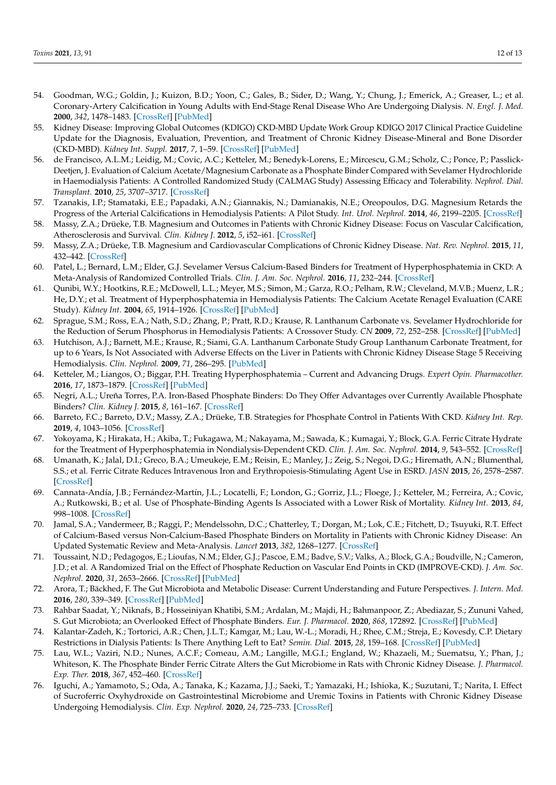- 54. Goodman, W.G.; Goldin, J.; Kuizon, B.D.; Yoon, C.; Gales, B.; Sider, D.; Wang, Y.; Chung, J.; Emerick, A.; Greaser, L.; et al. Coronary-Artery Calcification in Young Adults with End-Stage Renal Disease Who Are Undergoing Dialysis. *N. Engl. J. Med.* **2000**, *342*, 1478–1483. [\[CrossRef\]](http://doi.org/10.1056/NEJM200005183422003) [\[PubMed\]](http://www.ncbi.nlm.nih.gov/pubmed/10816185)
- 55. Kidney Disease: Improving Global Outcomes (KDIGO) CKD-MBD Update Work Group KDIGO 2017 Clinical Practice Guideline Update for the Diagnosis, Evaluation, Prevention, and Treatment of Chronic Kidney Disease-Mineral and Bone Disorder (CKD-MBD). *Kidney Int. Suppl.* **2017**, *7*, 1–59. [\[CrossRef\]](http://doi.org/10.1016/j.kisu.2017.04.001) [\[PubMed\]](http://www.ncbi.nlm.nih.gov/pubmed/30675420)
- 56. de Francisco, A.L.M.; Leidig, M.; Covic, A.C.; Ketteler, M.; Benedyk-Lorens, E.; Mircescu, G.M.; Scholz, C.; Ponce, P.; Passlick-Deetjen, J. Evaluation of Calcium Acetate/Magnesium Carbonate as a Phosphate Binder Compared with Sevelamer Hydrochloride in Haemodialysis Patients: A Controlled Randomized Study (CALMAG Study) Assessing Efficacy and Tolerability. *Nephrol. Dial. Transplant.* **2010**, *25*, 3707–3717. [\[CrossRef\]](http://doi.org/10.1093/ndt/gfq292)
- 57. Tzanakis, I.P.; Stamataki, E.E.; Papadaki, A.N.; Giannakis, N.; Damianakis, N.E.; Oreopoulos, D.G. Magnesium Retards the Progress of the Arterial Calcifications in Hemodialysis Patients: A Pilot Study. *Int. Urol. Nephrol.* **2014**, *46*, 2199–2205. [\[CrossRef\]](http://doi.org/10.1007/s11255-014-0751-9)
- 58. Massy, Z.A.; Drüeke, T.B. Magnesium and Outcomes in Patients with Chronic Kidney Disease: Focus on Vascular Calcification, Atherosclerosis and Survival. *Clin. Kidney J.* **2012**, *5*, i52–i61. [\[CrossRef\]](http://doi.org/10.1093/ndtplus/sfr167)
- 59. Massy, Z.A.; Drüeke, T.B. Magnesium and Cardiovascular Complications of Chronic Kidney Disease. *Nat. Rev. Nephrol.* **2015**, *11*, 432–442. [\[CrossRef\]](http://doi.org/10.1038/nrneph.2015.74)
- 60. Patel, L.; Bernard, L.M.; Elder, G.J. Sevelamer Versus Calcium-Based Binders for Treatment of Hyperphosphatemia in CKD: A Meta-Analysis of Randomized Controlled Trials. *Clin. J. Am. Soc. Nephrol.* **2016**, *11*, 232–244. [\[CrossRef\]](http://doi.org/10.2215/CJN.06800615)
- 61. Qunibi, W.Y.; Hootkins, R.E.; McDowell, L.L.; Meyer, M.S.; Simon, M.; Garza, R.O.; Pelham, R.W.; Cleveland, M.V.B.; Muenz, L.R.; He, D.Y.; et al. Treatment of Hyperphosphatemia in Hemodialysis Patients: The Calcium Acetate Renagel Evaluation (CARE Study). *Kidney Int.* **2004**, *65*, 1914–1926. [\[CrossRef\]](http://doi.org/10.1111/j.1523-1755.2004.00590.x) [\[PubMed\]](http://www.ncbi.nlm.nih.gov/pubmed/15086935)
- 62. Sprague, S.M.; Ross, E.A.; Nath, S.D.; Zhang, P.; Pratt, R.D.; Krause, R. Lanthanum Carbonate vs. Sevelamer Hydrochloride for the Reduction of Serum Phosphorus in Hemodialysis Patients: A Crossover Study. *CN* **2009**, *72*, 252–258. [\[CrossRef\]](http://doi.org/10.5414/CNP72252) [\[PubMed\]](http://www.ncbi.nlm.nih.gov/pubmed/19825330)
- 63. Hutchison, A.J.; Barnett, M.E.; Krause, R.; Siami, G.A. Lanthanum Carbonate Study Group Lanthanum Carbonate Treatment, for up to 6 Years, Is Not Associated with Adverse Effects on the Liver in Patients with Chronic Kidney Disease Stage 5 Receiving Hemodialysis. *Clin. Nephrol.* **2009**, *71*, 286–295. [\[PubMed\]](http://www.ncbi.nlm.nih.gov/pubmed/19281739)
- 64. Ketteler, M.; Liangos, O.; Biggar, P.H. Treating Hyperphosphatemia Current and Advancing Drugs. *Expert Opin. Pharmacother.* **2016**, *17*, 1873–1879. [\[CrossRef\]](http://doi.org/10.1080/14656566.2016.1220538) [\[PubMed\]](http://www.ncbi.nlm.nih.gov/pubmed/27643443)
- 65. Negri, A.L.; Ureña Torres, P.A. Iron-Based Phosphate Binders: Do They Offer Advantages over Currently Available Phosphate Binders? *Clin. Kidney J.* **2015**, *8*, 161–167. [\[CrossRef\]](http://doi.org/10.1093/ckj/sfu139)
- 66. Barreto, F.C.; Barreto, D.V.; Massy, Z.A.; Drüeke, T.B. Strategies for Phosphate Control in Patients With CKD. *Kidney Int. Rep.* **2019**, *4*, 1043–1056. [\[CrossRef\]](http://doi.org/10.1016/j.ekir.2019.06.002)
- 67. Yokoyama, K.; Hirakata, H.; Akiba, T.; Fukagawa, M.; Nakayama, M.; Sawada, K.; Kumagai, Y.; Block, G.A. Ferric Citrate Hydrate for the Treatment of Hyperphosphatemia in Nondialysis-Dependent CKD. *Clin. J. Am. Soc. Nephrol.* **2014**, *9*, 543–552. [\[CrossRef\]](http://doi.org/10.2215/CJN.05170513)
- 68. Umanath, K.; Jalal, D.I.; Greco, B.A.; Umeukeje, E.M.; Reisin, E.; Manley, J.; Zeig, S.; Negoi, D.G.; Hiremath, A.N.; Blumenthal, S.S.; et al. Ferric Citrate Reduces Intravenous Iron and Erythropoiesis-Stimulating Agent Use in ESRD. *JASN* **2015**, *26*, 2578–2587. [\[CrossRef\]](http://doi.org/10.1681/ASN.2014080842)
- 69. Cannata-Andía, J.B.; Fernández-Martín, J.L.; Locatelli, F.; London, G.; Gorriz, J.L.; Floege, J.; Ketteler, M.; Ferreira, A.; Covic, A.; Rutkowski, B.; et al. Use of Phosphate-Binding Agents Is Associated with a Lower Risk of Mortality. *Kidney Int.* **2013**, *84*, 998–1008. [\[CrossRef\]](http://doi.org/10.1038/ki.2013.185)
- 70. Jamal, S.A.; Vandermeer, B.; Raggi, P.; Mendelssohn, D.C.; Chatterley, T.; Dorgan, M.; Lok, C.E.; Fitchett, D.; Tsuyuki, R.T. Effect of Calcium-Based versus Non-Calcium-Based Phosphate Binders on Mortality in Patients with Chronic Kidney Disease: An Updated Systematic Review and Meta-Analysis. *Lancet* **2013**, *382*, 1268–1277. [\[CrossRef\]](http://doi.org/10.1016/S0140-6736(13)60897-1)
- 71. Toussaint, N.D.; Pedagogos, E.; Lioufas, N.M.; Elder, G.J.; Pascoe, E.M.; Badve, S.V.; Valks, A.; Block, G.A.; Boudville, N.; Cameron, J.D.; et al. A Randomized Trial on the Effect of Phosphate Reduction on Vascular End Points in CKD (IMPROVE-CKD). *J. Am. Soc. Nephrol.* **2020**, *31*, 2653–2666. [\[CrossRef\]](http://doi.org/10.1681/ASN.2020040411) [\[PubMed\]](http://www.ncbi.nlm.nih.gov/pubmed/32917784)
- 72. Arora, T.; Bäckhed, F. The Gut Microbiota and Metabolic Disease: Current Understanding and Future Perspectives. *J. Intern. Med.* **2016**, *280*, 339–349. [\[CrossRef\]](http://doi.org/10.1111/joim.12508) [\[PubMed\]](http://www.ncbi.nlm.nih.gov/pubmed/27071815)
- 73. Rahbar Saadat, Y.; Niknafs, B.; Hosseiniyan Khatibi, S.M.; Ardalan, M.; Majdi, H.; Bahmanpoor, Z.; Abediazar, S.; Zununi Vahed, S. Gut Microbiota; an Overlooked Effect of Phosphate Binders. *Eur. J. Pharmacol.* **2020**, *868*, 172892. [\[CrossRef\]](http://doi.org/10.1016/j.ejphar.2019.172892) [\[PubMed\]](http://www.ncbi.nlm.nih.gov/pubmed/31870830)
- 74. Kalantar-Zadeh, K.; Tortorici, A.R.; Chen, J.L.T.; Kamgar, M.; Lau, W.-L.; Moradi, H.; Rhee, C.M.; Streja, E.; Kovesdy, C.P. Dietary Restrictions in Dialysis Patients: Is There Anything Left to Eat? *Semin. Dial.* **2015**, *28*, 159–168. [\[CrossRef\]](http://doi.org/10.1111/sdi.12348) [\[PubMed\]](http://www.ncbi.nlm.nih.gov/pubmed/25649719)
- 75. Lau, W.L.; Vaziri, N.D.; Nunes, A.C.F.; Comeau, A.M.; Langille, M.G.I.; England, W.; Khazaeli, M.; Suematsu, Y.; Phan, J.; Whiteson, K. The Phosphate Binder Ferric Citrate Alters the Gut Microbiome in Rats with Chronic Kidney Disease. *J. Pharmacol. Exp. Ther.* **2018**, *367*, 452–460. [\[CrossRef\]](http://doi.org/10.1124/jpet.118.251389)
- 76. Iguchi, A.; Yamamoto, S.; Oda, A.; Tanaka, K.; Kazama, J.J.; Saeki, T.; Yamazaki, H.; Ishioka, K.; Suzutani, T.; Narita, I. Effect of Sucroferric Oxyhydroxide on Gastrointestinal Microbiome and Uremic Toxins in Patients with Chronic Kidney Disease Undergoing Hemodialysis. *Clin. Exp. Nephrol.* **2020**, *24*, 725–733. [\[CrossRef\]](http://doi.org/10.1007/s10157-020-01892-x)